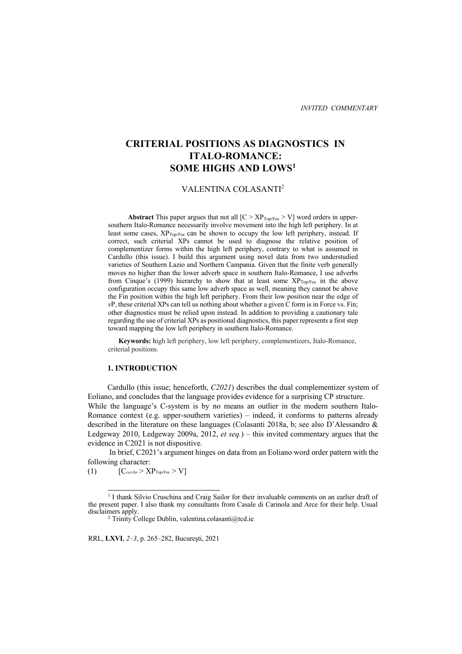# **CRITERIAL POSITIONS AS DIAGNOSTICS IN ITALO-ROMANCE: SOME HIGHS AND LOWS1**

# VALENTINA COLASANTI2

**Abstract** This paper argues that not all  $[C > XP<sub>Top/Fac</sub> > V]$  word orders in uppersouthern Italo-Romance necessarily involve movement into the high left periphery. In at least some cases, XP<sub>Top/Foc</sub> can be shown to occupy the low left periphery, instead. If correct, such criterial XPs cannot be used to diagnose the relative position of complementizer forms within the high left periphery, contrary to what is assumed in Cardullo (this issue). I build this argument using novel data from two understudied varieties of Southern Lazio and Northern Campania. Given that the finite verb generally moves no higher than the lower adverb space in southern Italo-Romance, I use adverbs from Cinque's (1999) hierarchy to show that at least some  $XP_{Top/Foc}$  in the above configuration occupy this same low adverb space as well, meaning they cannot be above the Fin position within the high left periphery. From their low position near the edge of *v*P, these criterial XPs can tell us nothing about whether a given C form is in Force vs. Fin; other diagnostics must be relied upon instead. In addition to providing a cautionary tale regarding the use of criterial XPs as positional diagnostics, this paper represents a first step toward mapping the low left periphery in southern Italo-Romance.

 **Keywords:** high left periphery, low left periphery, complementizers, Italo-Romance, criterial positions.

#### **1. INTRODUCTION**

Cardullo (this issue; henceforth, *C2021*) describes the dual complementizer system of Eoliano, and concludes that the language provides evidence for a surprising CP structure. While the language's C-system is by no means an outlier in the modern southern Italo-Romance context (e.g. upper-southern varieties) – indeed, it conforms to patterns already described in the literature on these languages (Colasanti 2018a, b; see also D'Alessandro & Ledgeway 2010, Ledgeway 2009a, 2012, *et seq.*) – this invited commentary argues that the evidence in C2021 is not dispositive.

In brief, C2021's argument hinges on data from an Eoliano word order pattern with the following character:

(1)  $[C_{\alpha/\text{ch} \sigma} > XP_{\text{Top/Foc}} > V]$ 

RRL, **LXVI**, *2–3*, p. 265–282, Bucureşti, 2021

<sup>&</sup>lt;sup>1</sup> I thank Silvio Cruschina and Craig Sailor for their invaluable comments on an earlier draft of the present paper. I also thank my consultants from Casale di Carinola and Arce for their help. Usual disclaimers apply.<br><sup>2</sup> Trinity College Dublin, valentina.colasanti@tcd.ie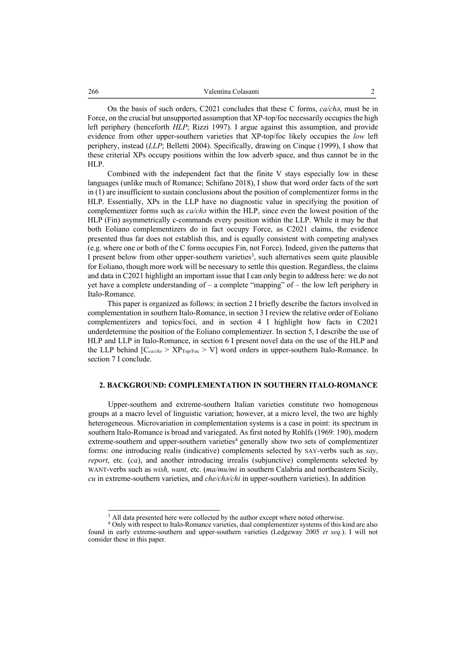On the basis of such orders, C2021 concludes that these C forms, *ca/chə*, must be in Force, on the crucial but unsupported assumption that XP-top/foc necessarily occupies the high left periphery (henceforth *HLP*; Rizzi 1997). I argue against this assumption, and provide evidence from other upper-southern varieties that XP-top/foc likely occupies the *low* left periphery, instead (*LLP*; Belletti 2004). Specifically, drawing on Cinque (1999), I show that these criterial XPs occupy positions within the low adverb space, and thus cannot be in the HLP.

Combined with the independent fact that the finite V stays especially low in these languages (unlike much of Romance; Schifano 2018), I show that word order facts of the sort in (1) are insufficient to sustain conclusions about the position of complementizer forms in the HLP. Essentially, XPs in the LLP have no diagnostic value in specifying the position of complementizer forms such as *ca/chə* within the HLP, since even the lowest position of the HLP (Fin) asymmetrically c-commands every position within the LLP. While it may be that both Eoliano complementizers do in fact occupy Force, as C2021 claims, the evidence presented thus far does not establish this, and is equally consistent with competing analyses (e.g. where one or both of the C forms occupies Fin, not Force). Indeed, given the patterns that I present below from other upper-southern varieties<sup>3</sup>, such alternatives seem quite plausible for Eoliano, though more work will be necessary to settle this question. Regardless, the claims and data in C2021 highlight an important issue that I can only begin to address here: we do not yet have a complete understanding of  $-$  a complete "mapping" of  $-$  the low left periphery in Italo-Romance.

This paper is organized as follows: in section 2 I briefly describe the factors involved in complementation in southern Italo-Romance, in section 3 I review the relative order of Eoliano complementizers and topics/foci, and in section 4 I highlight how facts in C2021 underdetermine the position of the Eoliano complementizer. In section 5, I describe the use of HLP and LLP in Italo-Romance, in section 6 I present novel data on the use of the HLP and the LLP behind [C*ca/chə* > XPTop/Foc > V] word orders in upper-southern Italo-Romance. In section 7 I conclude.

#### **2. BACKGROUND: COMPLEMENTATION IN SOUTHERN ITALO-ROMANCE**

Upper-southern and extreme-southern Italian varieties constitute two homogenous groups at a macro level of linguistic variation; however, at a micro level, the two are highly heterogeneous. Microvariation in complementation systems is a case in point: its spectrum in southern Italo-Romance is broad and variegated. As first noted by Rohlfs (1969: 190), modern extreme-southern and upper-southern varieties<sup>4</sup> generally show two sets of complementizer forms: one introducing realis (indicative) complements selected by SAY-verbs such as *say*, *report*, etc. (*ca*), and another introducing irrealis (subjunctive) complements selected by WANT-verbs such as *wish, want,* etc. (*ma/mu/mi* in southern Calabria and northeastern Sicily, *cu* in extreme-southern varieties, and *che/chə/chi* in upper-southern varieties). In addition

All data presented here were collected by the author except where noted otherwise.

<sup>&</sup>lt;sup>4</sup> Only with respect to Italo-Romance varieties, dual complementizer systems of this kind are also found in early extreme-southern and upper-southern varieties (Ledgeway 2005 *et seq.*). I will not consider these in this paper.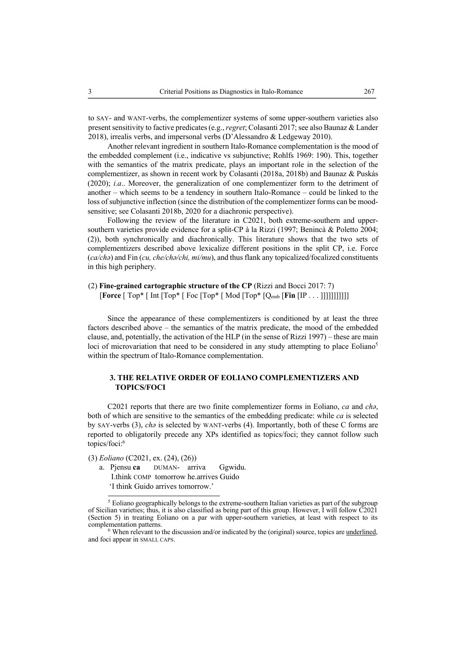to SAY- and WANT-verbs, the complementizer systems of some upper-southern varieties also present sensitivity to factive predicates (e.g., *regret*; Colasanti 2017; see also Baunaz & Lander 2018), irrealis verbs, and impersonal verbs (D'Alessandro & Ledgeway 2010).

Another relevant ingredient in southern Italo-Romance complementation is the mood of the embedded complement (i.e., indicative vs subjunctive; Rohlfs 1969: 190). This, together with the semantics of the matrix predicate, plays an important role in the selection of the complementizer, as shown in recent work by Colasanti (2018a, 2018b) and Baunaz & Puskás (2020); *i.a*.. Moreover, the generalization of one complementizer form to the detriment of another – which seems to be a tendency in southern Italo-Romance – could be linked to the loss of subjunctive inflection (since the distribution of the complementizer forms can be moodsensitive; see Colasanti 2018b, 2020 for a diachronic perspective).

Following the review of the literature in C2021, both extreme-southern and uppersouthern varieties provide evidence for a split-CP à la Rizzi (1997; Benincà & Poletto 2004; (2)), both synchronically and diachronically. This literature shows that the two sets of complementizers described above lexicalize different positions in the split CP, i.e. Force (*ca/chə*) and Fin (*cu, che/chə/chi, mi/mu*), and thus flank any topicalized/focalized constituents in this high periphery.

# (2) **Fine-grained cartographic structure of the CP** (Rizzi and Bocci 2017: 7) [**Force** [ Top\* [ Int [Top\* [ Foc [Top\* [ Mod [Top\* [Qemb [**Fin** [IP . . . ]]]]]]]]]]]

Since the appearance of these complementizers is conditioned by at least the three factors described above – the semantics of the matrix predicate, the mood of the embedded clause, and, potentially, the activation of the HLP (in the sense of Rizzi 1997) – these are main loci of microvariation that need to be considered in any study attempting to place Eoliano<sup>5</sup> within the spectrum of Italo-Romance complementation.

# **3. THE RELATIVE ORDER OF EOLIANO COMPLEMENTIZERS AND TOPICS/FOCI**

C2021 reports that there are two finite complementizer forms in Eoliano, *ca* and *chə*, both of which are sensitive to the semantics of the embedding predicate: while *ca* is selected by SAY-verbs (3), *chə* is selected by WANT-verbs (4). Importantly, both of these C forms are reported to obligatorily precede any XPs identified as topics/foci; they cannot follow such topics/foci:6

(3) *Eoliano* (C2021, ex. (24), (26))

a. Pjensu **ca** DUMAN- arriva Ggwidu. I.think COMP tomorrow he.arrives Guido 'I think Guido arrives tomorrow.'

<sup>&</sup>lt;sup>5</sup> Eoliano geographically belongs to the extreme-southern Italian varieties as part of the subgroup of Sicilian varieties; thus, it is also classified as being part of this group. However, I will follow C2021 (Section 5) in treating Eoliano on a par with upper-southern varieties, at least with respect to its complementation patterns.<br><sup>6</sup> When relevant to the discussion and/or indicated by the (original) source, topics are <u>underlined</u>,

and foci appear in SMALL CAPS.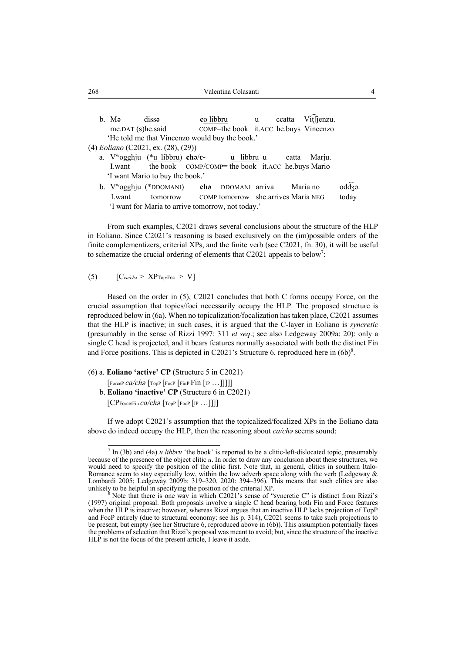- b. Mə dissə **c**o libbru u ccatta Vi͡tʃjenzu. me.DAT (s)he.said COMP=the book it.ACC he.buys Vincenzo 'He told me that Vincenzo would buy the book.'
- (4) *Eoliano* (C2021, ex. (28), (29))
	- a. Vwogghju (\*u libbru) **chə**/**c-** u libbru u catta Marju. I.want the book COMP/COMP= the book it.ACC he.buys Mario 'I want Mario to buy the book.'
	- b. V<sup>w</sup>ogghju (\*DDOMANI) **cha** DDOMANI arriva Maria no oddza. I.want tomorrow COMP tomorrow she.arrives Maria NEG today 'I want for Maria to arrive tomorrow, not today.'

From such examples, C2021 draws several conclusions about the structure of the HLP in Eoliano. Since C2021's reasoning is based exclusively on the (im)possible orders of the finite complementizers, criterial XPs, and the finite verb (see C2021, fn. 30), it will be useful to schematize the crucial ordering of elements that C2021 appeals to below<sup>7</sup>:

# (5)  $[C_{\alpha/\text{ch}a} > XP_{\text{Top/Foc}} > V]$

Based on the order in (5), C2021 concludes that both C forms occupy Force, on the crucial assumption that topics/foci necessarily occupy the HLP. The proposed structure is reproduced below in (6a). When no topicalization/focalization has taken place, C2021 assumes that the HLP is inactive; in such cases, it is argued that the C-layer in Eoliano is *syncretic* (presumably in the sense of Rizzi 1997: 311 *et seq*.; see also Ledgeway 2009a: 20): only a single C head is projected, and it bears features normally associated with both the distinct Fin and Force positions. This is depicted in C2021's Structure 6, reproduced here in  $(6b)^8$ .

(6) a. **Eoliano 'active' CP** (Structure 5 in C2021)

[ForceP *ca/chə* [TopP [FocP [FinP Fin [IP …]]]]]

b. **Eoliano 'inactive' CP** (Structure 6 in C2021)

[CPForce/Fin *ca/chə* [TopP [FocP [IP …]]]]

If we adopt C2021's assumption that the topicalized/focalized XPs in the Eoliano data above do indeed occupy the HLP, then the reasoning about *ca/chə* seems sound:

<sup>7</sup> In (3b) and (4a) *u libbru* 'the book' is reported to be a clitic-left-dislocated topic, presumably because of the presence of the object clitic *u*. In order to draw any conclusion about these structures, we would need to specify the position of the clitic first. Note that, in general, clitics in southern Italo-Romance seem to stay especially low, within the low adverb space along with the verb (Ledgeway & Lombardi 2005; Ledgeway 2009b: 319–320, 2020: 394–396). This means that such clitics are also

Note that there is one way in which C2021's sense of "syncretic C" is distinct from Rizzi's (1997) original proposal. Both proposals involve a single C head bearing both Fin and Force features when the HLP is inactive; however, whereas Rizzi argues that an inactive HLP lacks projection of TopP and FocP entirely (due to structural economy: see his p. 314), C2021 seems to take such projections to be present, but empty (see her Structure 6, reproduced above in (6b)). This assumption potentially faces the problems of selection that Rizzi's proposal was meant to avoid; but, since the structure of the inactive HLP is not the focus of the present article, I leave it aside.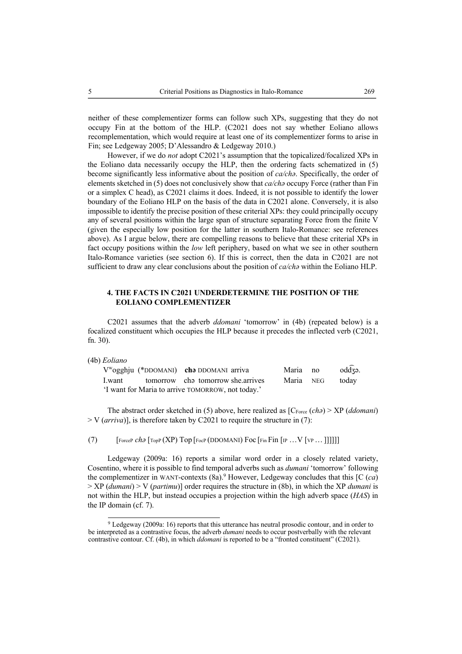neither of these complementizer forms can follow such XPs, suggesting that they do not occupy Fin at the bottom of the HLP. (C2021 does not say whether Eoliano allows recomplementation, which would require at least one of its complementizer forms to arise in Fin; see Ledgeway 2005; D'Alessandro & Ledgeway 2010.)

However, if we do *not* adopt C2021's assumption that the topicalized/focalized XPs in the Eoliano data necessarily occupy the HLP, then the ordering facts schematized in (5) become significantly less informative about the position of *ca/chə*. Specifically, the order of elements sketched in (5) does not conclusively show that *ca/chə* occupy Force (rather than Fin or a simplex C head), as C2021 claims it does. Indeed, it is not possible to identify the lower boundary of the Eoliano HLP on the basis of the data in C2021 alone. Conversely, it is also impossible to identify the precise position of these criterial XPs: they could principally occupy any of several positions within the large span of structure separating Force from the finite V (given the especially low position for the latter in southern Italo-Romance: see references above). As I argue below, there are compelling reasons to believe that these criterial XPs in fact occupy positions within the *low* left periphery, based on what we see in other southern Italo-Romance varieties (see section 6). If this is correct, then the data in C2021 are not sufficient to draw any clear conclusions about the position of *ca/chə* within the Eoliano HLP.

# **4. THE FACTS IN C2021 UNDERDETERMINE THE POSITION OF THE EOLIANO COMPLEMENTIZER**

C2021 assumes that the adverb *ddomani* 'tomorrow' in (4b) (repeated below) is a focalized constituent which occupies the HLP because it precedes the inflected verb (C2021, fn. 30).

(4b) *Eoliano*

|                                                   | V <sup>w</sup> ogghju (*DDOMANI) cha DDOMANI arriva | Maria no | $\text{odd}$ za. |
|---------------------------------------------------|-----------------------------------------------------|----------|------------------|
|                                                   | Lwant tomorrow cha tomorrow she arrives             |          | Maria NEG todav  |
| 'I want for Maria to arrive TOMORROW, not today.' |                                                     |          |                  |

The abstract order sketched in (5) above, here realized as  $[C<sub>force</sub> (cha) > XP (ddomani)$ > V (*arriva*)], is therefore taken by C2021 to require the structure in (7):

(7)  $\left[\begin{array}{cc} \text{ForceP} \ \text{ch}\frac{1}{2} \end{array} \right]$   $\left[\begin{array}{c} \text{Top} \ \text{(XP)} \end{array} \right]$   $\left[\begin{array}{c} \text{For (DDOMANI)} \ \text{Foc} \end{array} \right]$   $\left[\begin{array}{c} \text{Fin (IP ... V (VP ... 1)111]} \end{array} \right]$ 

Ledgeway (2009a: 16) reports a similar word order in a closely related variety, Cosentino, where it is possible to find temporal adverbs such as *dumani* 'tomorrow' following the complementizer in WANT-contexts  $(8a)$ .<sup>9</sup> However, Ledgeway concludes that this [C  $(ca)$ ] > XP (*dumani*) > V (*partimu*)] order requires the structure in (8b), in which the XP *dumani* is not within the HLP, but instead occupies a projection within the high adverb space (*HAS*) in the IP domain (cf. 7).

<sup>9</sup> Ledgeway (2009a: 16) reports that this utterance has neutral prosodic contour, and in order to be interpreted as a contrastive focus, the adverb *dumani* needs to occur postverbally with the relevant contrastive contour. Cf. (4b), in which *ddomani* is reported to be a "fronted constituent" (C2021).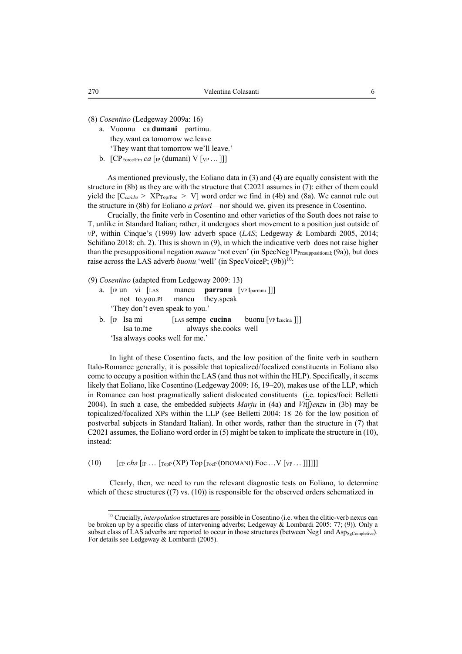(8) *Cosentino* (Ledgeway 2009a: 16)

- a. Vuonnu ca **dumani** partimu. they.want ca tomorrow we.leave 'They want that tomorrow we'll leave.'
- b.  $[CP_{\text{Force/Fin}} ca [p (duman]) V [v_{P} ... ]]$

As mentioned previously, the Eoliano data in (3) and (4) are equally consistent with the structure in (8b) as they are with the structure that C2021 assumes in (7): either of them could yield the  $[C_{\text{ca/cha}} > XP_{\text{TopFoc}} > V]$  word order we find in (4b) and (8a). We cannot rule out the structure in (8b) for Eoliano *a priori*—nor should we, given its presence in Cosentino.

Crucially, the finite verb in Cosentino and other varieties of the South does not raise to T, unlike in Standard Italian; rather, it undergoes short movement to a position just outside of *v*P, within Cinque's (1999) low adverb space (*LAS*; Ledgeway & Lombardi 2005, 2014; Schifano 2018: ch. 2). This is shown in (9), in which the indicative verb does not raise higher than the presuppositional negation *mancu* 'not even' (in SpecNeg1P<sub>Presuppositional; (9a)), but does</sub> raise across the LAS adverb *buonu* 'well' (in SpecVoiceP; (9b))<sup>10</sup>:

(9) *Cosentino* (adapted from Ledgeway 2009: 13)

- a.  $\lceil \ln \text{un} \rceil$   $\lceil \text{LAS} \rceil$  mancu **parranu**  $\lceil \text{VP} \cdot \text{t}_{\text{param}} \rceil \rceil$  not to.you.PL mancu they.speak 'They don't even speak to you.'
- b. [IP Isa mi [LAS sempe **cucina** buonu [VP tcucina ]]] Isa to.me always she.cooks well 'Isa always cooks well for me.'

In light of these Cosentino facts, and the low position of the finite verb in southern Italo-Romance generally, it is possible that topicalized/focalized constituents in Eoliano also come to occupy a position within the LAS (and thus not within the HLP). Specifically, it seems likely that Eoliano, like Cosentino (Ledgeway 2009: 16, 19–20), makes use of the LLP, which in Romance can host pragmatically salient dislocated constituents (i.e. topics/foci: Belletti 2004). In such a case, the embedded subjects *Marju* in (4a) and *Vi*͡tʃ*jenzu* in (3b) may be topicalized/focalized XPs within the LLP (see Belletti 2004: 18–26 for the low position of postverbal subjects in Standard Italian). In other words, rather than the structure in (7) that C2021 assumes, the Eoliano word order in (5) might be taken to implicate the structure in (10), instead:

(10)  $\left[$   $\left[\text{CP } \text{ch}\right]\left[\text{IP } \dots \left[\text{Top } (\text{XP}) \text{Top } [\text{FocP } (\text{DDOMANI}) \text{Foc} \dots \text{V } [\text{VP } \dots \text{]]\right]\right]\right]$ 

Clearly, then, we need to run the relevant diagnostic tests on Eoliano, to determine which of these structures  $((7)$  vs.  $(10)$ ) is responsible for the observed orders schematized in

<sup>&</sup>lt;sup>10</sup> Crucially, *interpolation* structures are possible in Cosentino (i.e. when the clitic-verb nexus can be broken up by a specific class of intervening adverbs; Ledgeway & Lombardi 2005: 77; (9)). Only a subset class of LAS adverbs are reported to occur in those structures (between Neg1 and Asp<sub>SgCompletive</sub>). For details see Ledgeway & Lombardi (2005).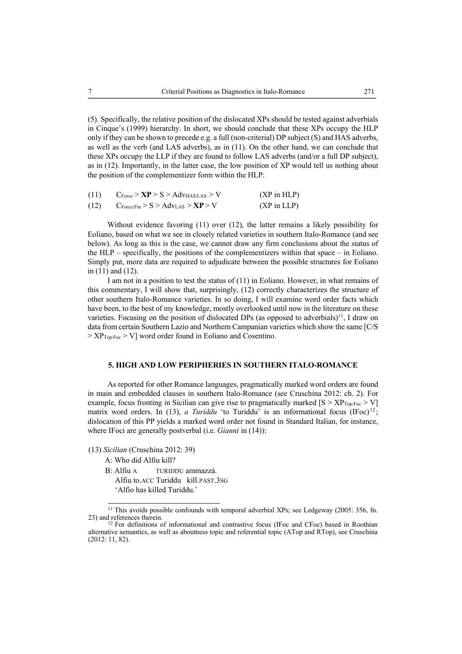(5). Specifically, the relative position of the dislocated XPs should be tested against adverbials in Cinque's (1999) hierarchy. In short, we should conclude that these XPs occupy the HLP only if they can be shown to precede e.g. a full (non-criterial) DP subject (S) and HAS adverbs, as well as the verb (and LAS adverbs), as in (11). On the other hand, we can conclude that these XPs occupy the LLP if they are found to follow LAS adverbs (and/or a full DP subject), as in (12). Importantly, in the latter case, the low position of XP would tell us nothing about the position of the complementizer form within the HLP:

| (11) | $C_{\text{Force}} > \mathbf{XP} > S > \text{Adv}_{\text{HAS/LAS}} > V$ | $(XP \in HLP)$         |
|------|------------------------------------------------------------------------|------------------------|
| (12) | $C_{\text{Force/Fin}} > S > \text{Adv}_{\text{LAS}} > \text{XP} > V$   | $(XP \text{ in } LLP)$ |

Without evidence favoring (11) over (12), the latter remains a likely possibility for Eoliano, based on what we see in closely related varieties in southern Italo-Romance (and see below). As long as this is the case, we cannot draw any firm conclusions about the status of the HLP – specifically, the positions of the complementizers within that space – in Eoliano. Simply put, more data are required to adjudicate between the possible structures for Eoliano in (11) and (12).

I am not in a position to test the status of (11) in Eoliano. However, in what remains of this commentary, I will show that, surprisingly, (12) correctly characterizes the structure of other southern Italo-Romance varieties. In so doing, I will examine word order facts which have been, to the best of my knowledge, mostly overlooked until now in the literature on these varieties. Focusing on the position of dislocated DPs (as opposed to adverbials)<sup>11</sup>, I draw on data from certain Southern Lazio and Northern Campanian varieties which show the same [C/S  $> XP<sub>Top/Fac</sub> > V$ ] word order found in Eoliano and Cosentino.

#### **5. HIGH AND LOW PERIPHERIES IN SOUTHERN ITALO-ROMANCE**

As reported for other Romance languages, pragmatically marked word orders are found in main and embedded clauses in southern Italo-Romance (see Cruschina 2012: ch. 2). For example, focus fronting in Sicilian can give rise to pragmatically marked  $[S > XP_{Top/Fo} > V]$ matrix word orders. In (13), *a Turiddu* 'to Turiddu' is an informational focus  $(IFoc)^{12}$ ; dislocation of this PP yields a marked word order not found in Standard Italian, for instance, where IFoci are generally postverbal (i.e. *Gianni* in (14)):

(13) *Sicilian* (Cruschina 2012: 39)

A: Who did Alfiu kill?

B: Alfiu A TURIDDU ammazzà. Alfiu to.ACC Turiddu kill.PAST.3SG 'Alfio has killed Turiddu.'

<sup>&</sup>lt;sup>11</sup> This avoids possible confounds with temporal adverbial XPs; see Ledgeway (2005: 356, fn. 23) and references therein.

 $12$  For definitions of informational and contrastive focus (IFoc and CFoc) based in Roothian alternative semantics, as well as aboutness topic and referential topic (ATop and RTop), see Cruschina (2012: 11, 82).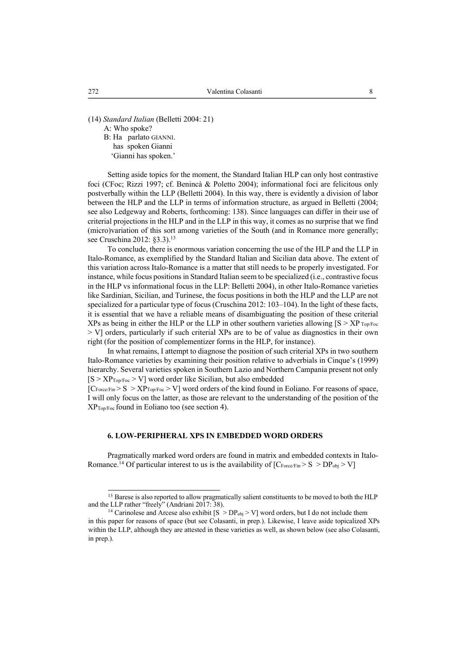(14) *Standard Italian* (Belletti 2004: 21) A: Who spoke? **B**: Ha parlato GIANNI. has spoken Gianni 'Gianni has spoken.'

Setting aside topics for the moment, the Standard Italian HLP can only host contrastive foci (CFoc; Rizzi 1997; cf. Benincà & Poletto 2004); informational foci are felicitous only postverbally within the LLP (Belletti 2004). In this way, there is evidently a division of labor between the HLP and the LLP in terms of information structure, as argued in Belletti (2004; see also Ledgeway and Roberts, forthcoming: 138). Since languages can differ in their use of criterial projections in the HLP and in the LLP in this way, it comes as no surprise that we find (micro)variation of this sort among varieties of the South (and in Romance more generally; see Cruschina 2012: §3.3).<sup>13</sup>

To conclude, there is enormous variation concerning the use of the HLP and the LLP in Italo-Romance, as exemplified by the Standard Italian and Sicilian data above. The extent of this variation across Italo-Romance is a matter that still needs to be properly investigated. For instance, while focus positions in Standard Italian seem to be specialized (i.e., contrastive focus in the HLP vs informational focus in the LLP: Belletti 2004), in other Italo-Romance varieties like Sardinian, Sicilian, and Turinese, the focus positions in both the HLP and the LLP are not specialized for a particular type of focus (Cruschina 2012: 103–104). In the light of these facts, it is essential that we have a reliable means of disambiguating the position of these criterial XPs as being in either the HLP or the LLP in other southern varieties allowing  $[S > XP_{TopFoc}$ > V] orders, particularly if such criterial XPs are to be of value as diagnostics in their own right (for the position of complementizer forms in the HLP, for instance).

In what remains, I attempt to diagnose the position of such criterial XPs in two southern Italo-Romance varieties by examining their position relative to adverbials in Cinque's (1999) hierarchy. Several varieties spoken in Southern Lazio and Northern Campania present not only  $[S > XP<sub>Top/Fac</sub> > V]$  word order like Sicilian, but also embedded

 $[C_{\text{Force/Fin}} > S > XP_{\text{Top/Foc}} > V]$  word orders of the kind found in Eoliano. For reasons of space, I will only focus on the latter, as those are relevant to the understanding of the position of the  $XP_{Top/Foc}$  found in Eoliano too (see section 4).

#### **6. LOW-PERIPHERAL XPS IN EMBEDDED WORD ORDERS**

Pragmatically marked word orders are found in matrix and embedded contexts in Italo-Romance.<sup>14</sup> Of particular interest to us is the availability of  $[C_{\text{Force/Fin}} > S > DP_{obj} > V]$ 

<sup>&</sup>lt;sup>13</sup> Barese is also reported to allow pragmatically salient constituents to be moved to both the HLP and the LLP rather "freely" (Andriani 2017: 38).

<sup>&</sup>lt;sup>14</sup> Carinolese and Arcese also exhibit  $[S > DP<sub>obj</sub> > V]$  word orders, but I do not include them in this paper for reasons of space (but see Colasanti, in prep.). Likewise, I leave aside topicalized XPs within the LLP, although they are attested in these varieties as well, as shown below (see also Colasanti, in prep.).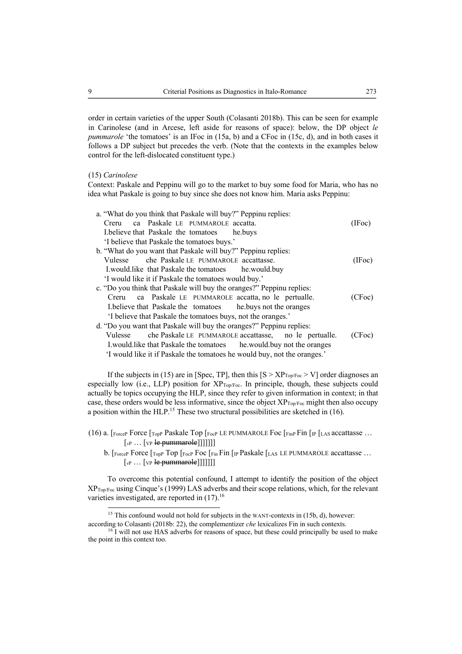order in certain varieties of the upper South (Colasanti 2018b). This can be seen for example in Carinolese (and in Arcese, left aside for reasons of space): below, the DP object *le pummarole* 'the tomatoes' is an IFoc in (15a, b) and a CFoc in (15c, d), and in both cases it follows a DP subject but precedes the verb. (Note that the contexts in the examples below control for the left-dislocated constituent type.)

#### (15) *Carinolese*

Context: Paskale and Peppinu will go to the market to buy some food for Maria, who has no idea what Paskale is going to buy since she does not know him. Maria asks Peppinu:

| a. "What do you think that Paskale will buy?" Peppinu replies:        |        |
|-----------------------------------------------------------------------|--------|
| Creru ca Paskale LE PUMMAROLE accatta.                                | (IFoc) |
| I.believe that Paskale the tomatoes he.buys                           |        |
| 'I believe that Paskale the tomatoes buys.'                           |        |
| b. "What do you want that Paskale will buy?" Peppinu replies:         |        |
| che Paskale LE PUMMAROLE accattasse.<br>Vulesse                       | (IFoc) |
| I.would.like that Paskale the tomatoes he.would.buy                   |        |
| 'I would like it if Paskale the tomatoes would buy.'                  |        |
| c. "Do you think that Paskale will buy the oranges?" Peppinu replies: |        |
| Creru ca Paskale LE PUMMAROLE accatta, no le pertualle.               | (CFoc) |
| I.believe that Paskale the tomatoes he.buys not the oranges           |        |
| 'I believe that Paskale the tomatoes buys, not the oranges.'          |        |
| d. "Do you want that Paskale will buy the oranges?" Peppinu replies:  |        |
| Vulesse che Paskale LE PUMMAROLE accattasse, no le pertualle.         | (CFoc) |
| I. would like that Paskale the tomatoes he would buy not the oranges  |        |
|                                                                       |        |

'I would like it if Paskale the tomatoes he would buy, not the oranges.'

If the subjects in (15) are in [Spec, TP], then this  $[S > XP<sub>Top/FoC</sub> > V]$  order diagnoses an especially low (i.e., LLP) position for  $XP_{Top/FoC}$ . In principle, though, these subjects could actually be topics occupying the HLP, since they refer to given information in context; in that case, these orders would be less informative, since the object XPTop/Foc might then also occupy a position within the HLP.<sup>15</sup> These two structural possibilities are sketched in  $(16)$ .

- (16) a.  $[Force]$  Force  $[Tope]$  Paskale Top  $[Force]$  LE PUMMAROLE Foc  $[Fore]$  Fin  $[IP]$  [LAS accattasse ...  $\left[\begin{matrix}v_P \dots \end{matrix}\right]$  [ $\left[\begin{matrix}v_P \end{matrix}\right]$  **le pummarole**]]]]]]]
	- b. [ForceP Force [TopP Top [FocP Foc [Fin Fin [IP Paskale [LAS LE PUMMAROLE accattasse ... [*v*<sup>P</sup> … [VP le pummarole]]]]]]]

To overcome this potential confound, I attempt to identify the position of the object XPTop/Foc using Cinque's (1999) LAS adverbs and their scope relations, which, for the relevant varieties investigated, are reported in  $(17)$ .<sup>16</sup>

 $15$  This confound would not hold for subjects in the WANT-contexts in (15b, d), however:

according to Colasanti (2018b: 22), the complementizer *che* lexicalizes Fin in such contexts.<br><sup>16</sup> I will not use HAS adverbs for reasons of space, but these could principally be used to make

the point in this context too.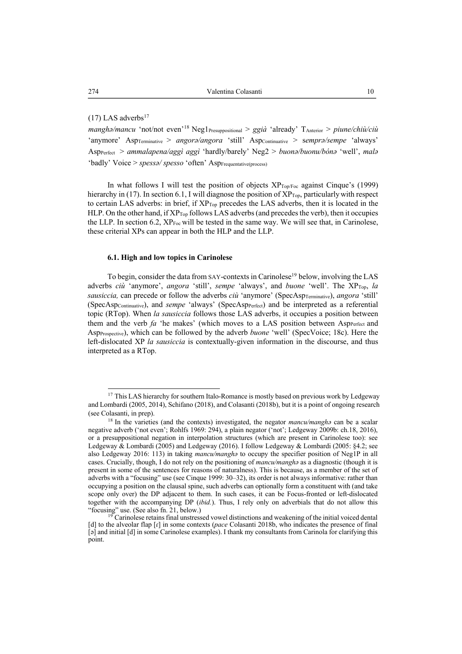### $(17)$  LAS adverbs<sup>17</sup>

*manghə/mancu* 'not/not even'18 Neg1Presuppositional > *ggià* 'already' TAnterior > *piune/chiù/ciù* 'anymore' Asp<sub>Terminative</sub> > *angorə/angora* 'still' Aspcontinuative > semprə/sempe 'always' AspPerfect > *ammalapena/aggì aggì* 'hardly/barely' Neg2 > *buonə/buonu/bónə* 'well', *malə*  'badly' Voice > *spessa*/ spesso 'often' AspFrequentative(process)

In what follows I will test the position of objects  $XP_{Top/Fe}$  against Cinque's (1999) hierarchy in (17). In section 6.1, I will diagnose the position of  $XP_{Top}$ , particularly with respect to certain LAS adverbs: in brief, if XP<sub>Top</sub> precedes the LAS adverbs, then it is located in the HLP. On the other hand, if  $XP_{Top}$  follows LAS adverbs (and precedes the verb), then it occupies the LLP. In section 6.2, XPFoc will be tested in the same way. We will see that, in Carinolese, these criterial XPs can appear in both the HLP and the LLP.

#### **6.1. High and low topics in Carinolese**

To begin, consider the data from SAY-contexts in Carinolese<sup>19</sup> below, involving the LAS adverbs *ciù* 'anymore', *angora* 'still', *sempe* 'always', and *buone* 'well'. The XP<sub>Top,</sub> la sausiccia, can precede or follow the adverbs *ciù* 'anymore' (SpecAsp<sub>Terminative), angora 'still'</sub> (SpecAspContinuative), and *sempe* 'always' (SpecAspPerfect) and be interpreted as a referential topic (RTop). When *la sausiccia* follows those LAS adverbs, it occupies a position between them and the verb *fa* 'he makes' (which moves to a LAS position between Asp<sub>Perfect</sub> and AspProspective), which can be followed by the adverb *buone* 'well' (SpecVoice; 18c). Here the left-dislocated XP *la sausiccia* is contextually-given information in the discourse, and thus interpreted as a RTop.

<sup>&</sup>lt;sup>17</sup> This LAS hierarchy for southern Italo-Romance is mostly based on previous work by Ledgeway and Lombardi (2005, 2014), Schifano (2018), and Colasanti (2018b), but it is a point of ongoing research (see Colasanti, in prep). 18 In the varieties (and the contexts) investigated, the negator *mancu/manghə* can be a scalar

negative adverb ('not even'; Rohlfs 1969: 294), a plain negator ('not'; Ledgeway 2009b: ch.18, 2016), or a presuppositional negation in interpolation structures (which are present in Carinolese too): see Ledgeway & Lombardi (2005) and Ledgeway (2016). I follow Ledgeway & Lombardi (2005: §4.2; see also Ledgeway 2016: 113) in taking *mancu/manghə* to occupy the specifier position of Neg1P in all cases. Crucially, though, I do not rely on the positioning of *mancu/manghə* as a diagnostic (though it is present in some of the sentences for reasons of naturalness). This is because, as a member of the set of adverbs with a "focusing" use (see Cinque 1999: 30–32), its order is not always informative: rather than occupying a position on the clausal spine, such adverbs can optionally form a constituent with (and take scope only over) the DP adjacent to them. In such cases, it can be Focus-fronted or left-dislocated together with the accompanying DP (*ibid.*). Thus, I rely only on adverbials that do not allow this "focusing" use. (See also fn. 21, below.) <sup>19</sup> Carinolese retains final unstressed vowel distinctions and weakening of the initial voiced dental

<sup>[</sup>d] to the alveolar flap  $\lceil$ r] in some contexts (*pace* Colasanti 2018b, who indicates the presence of final [ə] and initial [d] in some Carinolese examples). I thank my consultants from Carinola for clarifying this point.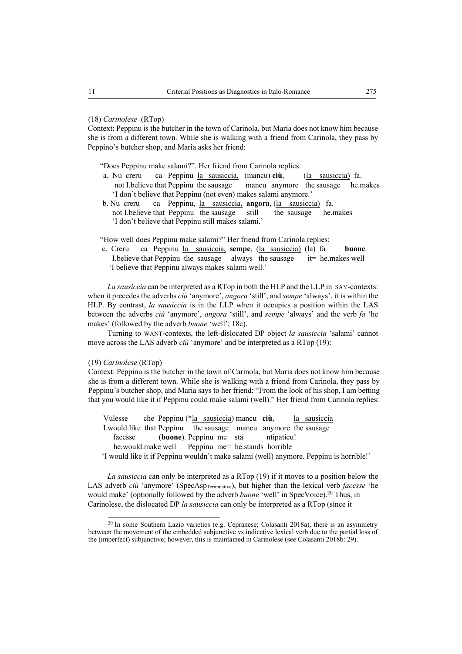#### (18) *Carinolese* (RTop)

Context: Peppinu is the butcher in the town of Carinola, but Maria does not know him because she is from a different town. While she is walking with a friend from Carinola, they pass by Peppino's butcher shop, and Maria asks her friend:

"Does Peppinu make salami?". Her friend from Carinola replies:

- a. Nu creru ca Peppinu la sausiccia, (mancu) **ciù**, (la sausiccia) fa. not I.believe that Peppinu the sausage mancu anymore the sausage he.makes 'I don't believe that Peppinu (not even) makes salami anymore.'
- b. Nu creru ca Peppinu, la sausiccia, **angora**, (la sausiccia) fa. not I.believe that Peppinu the sausage still the sausage he.makes 'I don't believe that Peppinu still makes salami.'

"How well does Peppinu make salami?" Her friend from Carinola replies:

 c. Creru ca Peppinu la sausiccia, **sempe**, (la sausiccia) (la) fa **buone**. I.believe that Peppinu the sausage always the sausage  $i=$  he.makes well 'I believe that Peppinu always makes salami well.'

*La sausiccia* can be interpreted as a RTop in both the HLP and the LLP in SAY-contexts: when it precedes the adverbs *ciù* 'anymore', *angora* 'still', and *sempe* 'always', it is within the HLP. By contrast, *la sausiccia* is in the LLP when it occupies a position within the LAS between the adverbs *ciù* 'anymore', *angora* 'still', and *sempe* 'always' and the verb *fa* 'he makes' (followed by the adverb *buone* 'well'; 18c).

Turning to WANT-contexts, the left-dislocated DP object *la sausiccia* 'salami' cannot move across the LAS adverb *ciù* 'anymore' and be interpreted as a RTop (19):

#### (19) *Carinolese* (RTop)

Context: Peppinu is the butcher in the town of Carinola, but Maria does not know him because she is from a different town. While she is walking with a friend from Carinola, they pass by Peppinu's butcher shop, and Maria says to her friend: "From the look of his shop, I am betting that you would like it if Peppinu could make salami (well)." Her friend from Carinola replies:

Vulesse che Peppinu (\*la sausiccia) mancu ciù, la sausiccia I.would.like that Peppinu the sausage mancu anymore the sausage facesse (**buone**). Peppinu me sta ntipaticu! he.would.make well Peppinu me= he.stands horrible

'I would like it if Peppinu wouldn't make salami (well) anymore. Peppinu is horrible!'

*La sausiccia* can only be interpreted as a RTop (19) if it moves to a position below the LAS adverb *ciù* 'anymore' (SpecAsp<sub>Terminative</sub>), but higher than the lexical verb *facesse* 'he would make' (optionally followed by the adverb *buone* 'well' in SpecVoice).<sup>20</sup> Thus, in Carinolese, the dislocated DP *la sausiccia* can only be interpreted as a RTop (since it

<sup>&</sup>lt;sup>20</sup> In some Southern Lazio varieties (e.g. Cepranese; Colasanti 2018a), there is an asymmetry between the movement of the embedded subjunctive vs indicative lexical verb due to the partial loss of the (imperfect) subjunctive; however, this is maintained in Carinolese (see Colasanti 2018b: 29).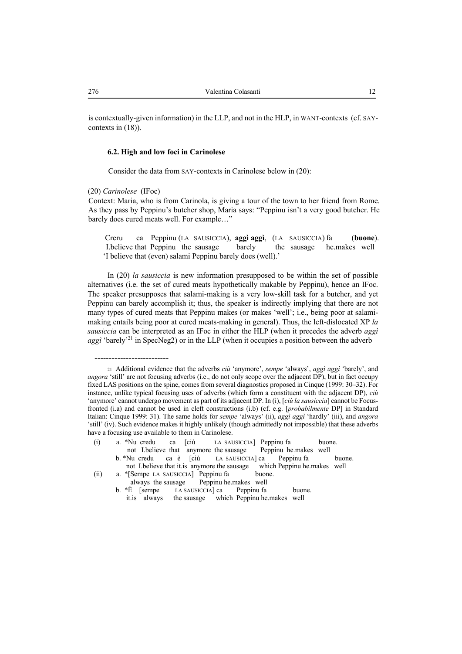is contextually-given information) in the LLP, and not in the HLP, in WANT-contexts (cf. SAYcontexts in (18)).

#### **6.2. High and low foci in Carinolese**

Consider the data from SAY-contexts in Carinolese below in (20):

(20) *Carinolese* (IFoc)

--------------------------

Context: Maria, who is from Carinola, is giving a tour of the town to her friend from Rome. As they pass by Peppinu's butcher shop, Maria says: "Peppinu isn't a very good butcher. He barely does cured meats well. For example…"

 Creru ca Peppinu (LA SAUSICCIA), **aggì aggì**, (LA SAUSICCIA) fa (**buone**). I.believe that Peppinu the sausage barely the sausage he.makes well 'I believe that (even) salami Peppinu barely does (well).'

In (20) *la sausiccia* is new information presupposed to be within the set of possible alternatives (i.e. the set of cured meats hypothetically makable by Peppinu), hence an IFoc. The speaker presupposes that salami-making is a very low-skill task for a butcher, and yet Peppinu can barely accomplish it; thus, the speaker is indirectly implying that there are not many types of cured meats that Peppinu makes (or makes 'well'; i.e., being poor at salamimaking entails being poor at cured meats-making in general). Thus, the left-dislocated XP *la sausiccia* can be interpreted as an IFoc in either the HLP (when it precedes the adverb *aggì aggì* 'barely'<sup>21</sup> in SpecNeg2) or in the LLP (when it occupies a position between the adverb

(i) a. \*Nu credu ca [ciù LA SAUSICCIA] Peppinu fa buone. not I.believe that anymore the sausage Peppinu he.makes well b. \*Nu credu ca è [ciù LA SAUSICCIA] ca Peppinu fa buone. not I.believe that it.is anymore the sausage which Peppinu he.makes well (ii) a. \*[Sempe LA SAUSICCIA] Peppinu fa buone.

<sup>21</sup> Additional evidence that the adverbs *ciù* 'anymore', *sempe* 'always', *aggì aggì* 'barely', and *angora* 'still' are not focusing adverbs (i.e., do not only scope over the adjacent DP), but in fact occupy fixed LAS positions on the spine, comes from several diagnostics proposed in Cinque (1999: 30–32). For instance, unlike typical focusing uses of adverbs (which form a constituent with the adjacent DP), *ciù* 'anymore' cannot undergo movement as part of its adjacent DP. In (i), [*ciù la sausiccia*] cannot be Focusfronted (i.a) and cannot be used in cleft constructions (i.b) (cf. e.g. [*probabilmente* DP] in Standard Italian: Cinque 1999: 31). The same holds for *sempe* 'always' (ii), *aggì aggì* 'hardly' (iii), and *angora* 'still' (iv). Such evidence makes it highly unlikely (though admittedly not impossible) that these adverbs have a focusing use available to them in Carinolese.

always the sausage Peppinu he.makes well<br>b.  $*\dot{E}$  [sempe LA SAUSICCIA] ca Peppinu fa LA SAUSICCIA] ca Peppinu fa buone. it.is always the sausage which Peppinu he.makes well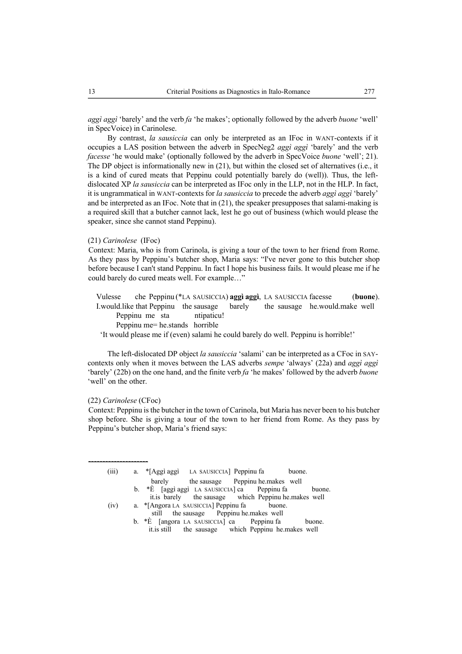*aggì aggì* 'barely' and the verb *fa* 'he makes'; optionally followed by the adverb *buone* 'well' in SpecVoice) in Carinolese.

By contrast, *la sausiccia* can only be interpreted as an IFoc in WANT-contexts if it occupies a LAS position between the adverb in SpecNeg2 *aggì aggì* 'barely' and the verb *facesse* 'he would make' (optionally followed by the adverb in SpecVoice *buone* 'well'; 21). The DP object is informationally new in (21), but within the closed set of alternatives (i.e., it is a kind of cured meats that Peppinu could potentially barely do (well)). Thus, the leftdislocated XP *la sausiccia* can be interpreted as IFoc only in the LLP, not in the HLP. In fact, it is ungrammatical in WANT-contexts for *la sausiccia* to precede the adverb *aggì aggì* 'barely' and be interpreted as an IFoc. Note that in (21), the speaker presupposes that salami-making is a required skill that a butcher cannot lack, lest he go out of business (which would please the speaker, since she cannot stand Peppinu).

#### (21) *Carinolese* (IFoc)

Context: Maria, who is from Carinola, is giving a tour of the town to her friend from Rome. As they pass by Peppinu's butcher shop, Maria says: "I've never gone to this butcher shop before because I can't stand Peppinu. In fact I hope his business fails. It would please me if he could barely do cured meats well. For example…"

 Vulesse che Peppinu (\*LA SAUSICCIA) **aggì aggì**, LA SAUSICCIA facesse (**buone**). I.would.like that Peppinu the sausage barely the sausage he.would.make well Peppinu me sta ntipaticu! Peppinu me= he.stands horrible 'It would please me if (even) salami he could barely do well. Peppinu is horrible!'

The left-dislocated DP object *la sausiccia* 'salami' can be interpreted as a CFoc in SAYcontexts only when it moves between the LAS adverbs *sempe* 'always' (22a) and *aggì aggì*  'barely' (22b) on the one hand, and the finite verb *fa* 'he makes' followed by the adverb *buone* 'well' on the other.

#### (22) *Carinolese* (CFoc)

Context: Peppinu is the butcher in the town of Carinola, but Maria has never been to his butcher shop before. She is giving a tour of the town to her friend from Rome. As they pass by Peppinu's butcher shop, Maria's friend says:

| (iii) | a. *[Aggi aggi LA SAUSICCIA] Peppinu fa<br>buone.           |        |
|-------|-------------------------------------------------------------|--------|
|       | barely the sausage Peppinu he makes well                    |        |
|       | b. $*\hat{E}$ [aggi aggi LA SAUSICCIA] ca Peppinu fa        | buone. |
|       | it.is barely the sausage which Peppinu he.makes well        |        |
| (iv)  | a. *[Angora LA SAUSICCIA] Peppinu fa buone.                 |        |
|       | still the sausage Peppinu he makes well                     |        |
|       | b. $*\hat{E}$ [angora LA SAUSICCIA] ca Peppinu fa<br>buone. |        |
|       | it is still the sausage which Peppinu he makes well         |        |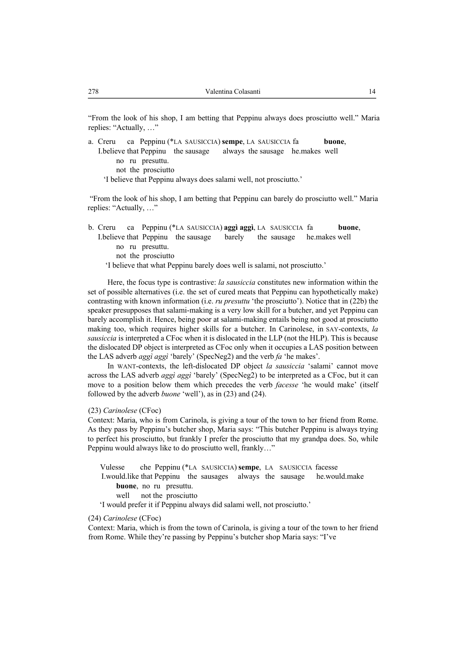"From the look of his shop, I am betting that Peppinu always does prosciutto well." Maria replies: "Actually, …"

a. Creru ca Peppinu (\*LA SAUSICCIA) **sempe**, LA SAUSICCIA fa **buone**, I.believe that Peppinu the sausage always the sausage he.makes well no ru presuttu. not the prosciutto 'I believe that Peppinu always does salami well, not prosciutto.'

"From the look of his shop, I am betting that Peppinu can barely do prosciutto well." Maria replies: "Actually, …"

| b. Creru ca Peppinu (*LA SAUSICCIA) aggi aggi, LA SAUSICCIA fa            |  | buone, |  |  |  |  |  |  |
|---------------------------------------------------------------------------|--|--------|--|--|--|--|--|--|
| I.believe that Peppinu the sausage barely the sausage he makes well       |  |        |  |  |  |  |  |  |
| no ru presuttu.                                                           |  |        |  |  |  |  |  |  |
| not the prosciutto                                                        |  |        |  |  |  |  |  |  |
| 'I believe that what Peppinu barely does well is salami, not prosciutto.' |  |        |  |  |  |  |  |  |

Here, the focus type is contrastive: *la sausiccia* constitutes new information within the set of possible alternatives (i.e. the set of cured meats that Peppinu can hypothetically make) contrasting with known information (i.e. *ru presuttu* 'the prosciutto'). Notice that in (22b) the speaker presupposes that salami-making is a very low skill for a butcher, and yet Peppinu can barely accomplish it. Hence, being poor at salami-making entails being not good at prosciutto making too, which requires higher skills for a butcher. In Carinolese, in SAY-contexts, *la sausiccia* is interpreted a CFoc when it is dislocated in the LLP (not the HLP). This is because the dislocated DP object is interpreted as CFoc only when it occupies a LAS position between the LAS adverb *aggì aggì* 'barely' (SpecNeg2) and the verb *fa* 'he makes'.

In WANT-contexts, the left-dislocated DP object *la sausiccia* 'salami' cannot move across the LAS adverb *aggì aggì* 'barely' (SpecNeg2) to be interpreted as a CFoc, but it can move to a position below them which precedes the verb *facesse* 'he would make' (itself followed by the adverb *buone* 'well'), as in (23) and (24).

#### (23) *Carinolese* (CFoc)

Context: Maria, who is from Carinola, is giving a tour of the town to her friend from Rome. As they pass by Peppinu's butcher shop, Maria says: "This butcher Peppinu is always trying to perfect his prosciutto, but frankly I prefer the prosciutto that my grandpa does. So, while Peppinu would always like to do prosciutto well, frankly…"

| Vulesse                                                                |                                | che Peppinu (*LA SAUSICCIA) sempe, LA SAUSICCIA facesse |  |                                                                          |
|------------------------------------------------------------------------|--------------------------------|---------------------------------------------------------|--|--------------------------------------------------------------------------|
|                                                                        |                                |                                                         |  | I. would like that Peppinu the sausages always the sausage he would make |
|                                                                        | <b>buone</b> , no ru presuttu. |                                                         |  |                                                                          |
|                                                                        | well not the prosciutto        |                                                         |  |                                                                          |
| 'I would prefer it if Peppinu always did salami well, not prosciutto.' |                                |                                                         |  |                                                                          |

#### (24) *Carinolese* (CFoc)

Context: Maria, which is from the town of Carinola, is giving a tour of the town to her friend from Rome. While they're passing by Peppinu's butcher shop Maria says: "I've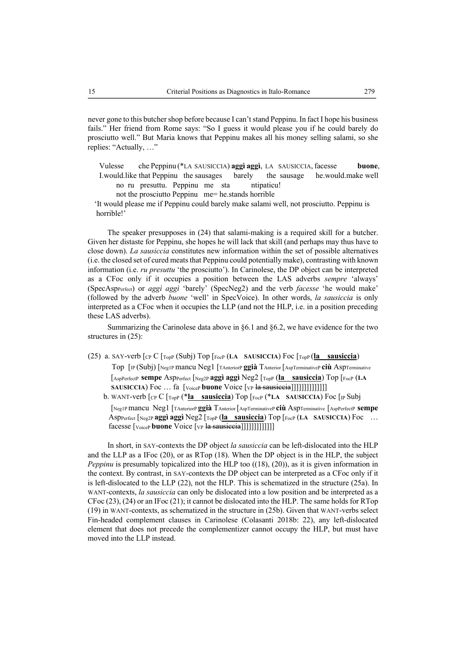never gone to this butcher shop before because I can't stand Peppinu. In fact I hope his business fails." Her friend from Rome says: "So I guess it would please you if he could barely do prosciutto well." But Maria knows that Peppinu makes all his money selling salami, so she replies: "Actually, …"

Vulesse che Peppinu (\*LA SAUSICCIA) **aggì aggì**, LA SAUSICCIA, facesse **buone**, I.would.like that Peppinu the sausages barely the sausage he.would.make well no ru presuttu. Peppinu me sta ntipaticu!

not the prosciutto Peppinu me= he.stands horrible

 'It would please me if Peppinu could barely make salami well, not prosciutto. Peppinu is horrible!'

The speaker presupposes in (24) that salami-making is a required skill for a butcher. Given her distaste for Peppinu, she hopes he will lack that skill (and perhaps may thus have to close down). *La sausiccia* constitutes new information within the set of possible alternatives (i.e. the closed set of cured meats that Peppinu could potentially make), contrasting with known information (i.e. *ru presuttu* 'the prosciutto'). In Carinolese, the DP object can be interpreted as a CFoc only if it occupies a position between the LAS adverbs *sempre* 'always' (SpecAspPerfect) or *aggì aggì* 'barely' (SpecNeg2) and the verb *facesse* 'he would make' (followed by the adverb *buone* 'well' in SpecVoice). In other words, *la sausiccia* is only interpreted as a CFoc when it occupies the LLP (and not the HLP, i.e. in a position preceding these LAS adverbs).

Summarizing the Carinolese data above in §6.1 and §6.2, we have evidence for the two structures in (25):

(25) a. SAY-verb [CP C [TopP (Subj) Top [FocP (**LA SAUSICCIA**) Foc [TopP (**la sausiccia**) Top [IP (Subj) [Neg1P mancu Neg1 [TAnteriorP **ggià** TAnterior [AspTerminativeP **ciù** AspTerminative [AspPerfectP **sempe** AspPerfect [Neg2P **aggì aggì** Neg2 [TopP (**la sausiccia**) Top [FocP (**LA SAUSICCIA**) Foc ... fa [VoiceP **buone** Voice [VP la sausiccia]]]]]]]]]]]]]]]]

b. WANT-verb [CP C [TopP (\***la sausiccia**) Top [FocP (\***LA SAUSICCIA**) Foc [IP Subj

 [Neg1P mancu Neg1 [TAnteriorP **ggià** TAnterior [AspTerminativeP **ciù** AspTerminative [AspPerfectP **sempe** AspPerfect [Neg2P **aggì aggì** Neg2 [TopP (**la sausiccia**) Top [FocP (**LA SAUSICCIA**) Foc … facesse [<sub>Voice</sub> **buone** Voice [<sub>VP</sub> la sausiccia]]]]]]]]]]]]]

In short, in SAY-contexts the DP object *la sausiccia* can be left-dislocated into the HLP and the LLP as a IFoc (20), or as RTop (18). When the DP object is in the HLP, the subject *Peppinu* is presumably topicalized into the HLP too ((18), (20)), as it is given information in the context. By contrast, in SAY-contexts the DP object can be interpreted as a CFoc only if it is left-dislocated to the LLP (22), not the HLP. This is schematized in the structure (25a). In WANT-contexts, *la sausiccia* can only be dislocated into a low position and be interpreted as a CFoc (23), (24) or an IFoc (21); it cannot be dislocated into the HLP. The same holds for RTop (19) in WANT-contexts, as schematized in the structure in (25b). Given that WANT-verbs select Fin-headed complement clauses in Carinolese (Colasanti 2018b: 22), any left-dislocated element that does not precede the complementizer cannot occupy the HLP, but must have moved into the LLP instead.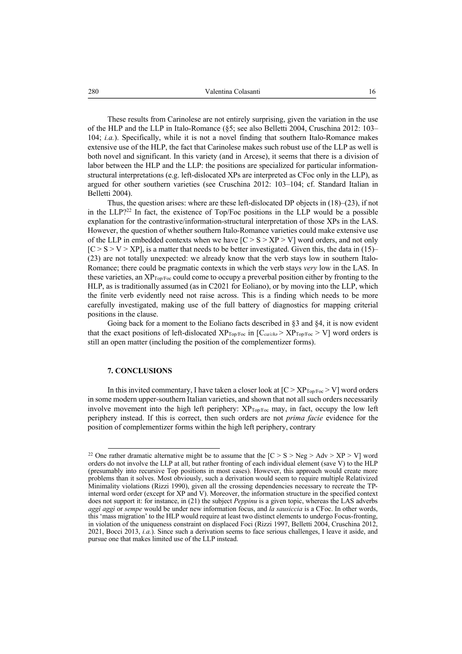These results from Carinolese are not entirely surprising, given the variation in the use of the HLP and the LLP in Italo-Romance (§5; see also Belletti 2004, Cruschina 2012: 103– 104; *i.a.*). Specifically, while it is not a novel finding that southern Italo-Romance makes extensive use of the HLP, the fact that Carinolese makes such robust use of the LLP as well is both novel and significant. In this variety (and in Arcese), it seems that there is a division of labor between the HLP and the LLP: the positions are specialized for particular informationstructural interpretations (e.g. left-dislocated XPs are interpreted as CFoc only in the LLP), as argued for other southern varieties (see Cruschina 2012: 103–104; cf. Standard Italian in Belletti 2004).

Thus, the question arises: where are these left-dislocated DP objects in (18)–(23), if not in the LLP?22 In fact, the existence of Top/Foc positions in the LLP would be a possible explanation for the contrastive/information-structural interpretation of those XPs in the LAS. However, the question of whether southern Italo-Romance varieties could make extensive use of the LLP in embedded contexts when we have  $[C > S > XP > V]$  word orders, and not only  $[C > S > V > XP]$ , is a matter that needs to be better investigated. Given this, the data in (15)– (23) are not totally unexpected: we already know that the verb stays low in southern Italo-Romance; there could be pragmatic contexts in which the verb stays *very* low in the LAS. In these varieties, an  $XP_{Top/Fo}$  could come to occupy a preverbal position either by fronting to the HLP, as is traditionally assumed (as in C2021 for Eoliano), or by moving into the LLP, which the finite verb evidently need not raise across. This is a finding which needs to be more carefully investigated, making use of the full battery of diagnostics for mapping criterial positions in the clause.

Going back for a moment to the Eoliano facts described in  $\S$ 3 and  $\S$ 4, it is now evident that the exact positions of left-dislocated  $XP_{Top/Foc}$  in  $[C_{\alpha/cha} > XP_{Top/Foc} > V]$  word orders is still an open matter (including the position of the complementizer forms).

#### **7. CONCLUSIONS**

In this invited commentary, I have taken a closer look at  $[C > XP<sub>Top/FoC</sub> > V]$  word orders in some modern upper-southern Italian varieties, and shown that not all such orders necessarily involve movement into the high left periphery:  $XP_{Top/Foc}$  may, in fact, occupy the low left periphery instead. If this is correct, then such orders are not *prima facie* evidence for the position of complementizer forms within the high left periphery, contrary

<sup>&</sup>lt;sup>22</sup> One rather dramatic alternative might be to assume that the  $[C > S > Neg > Adv > XP > V]$  word orders do not involve the LLP at all, but rather fronting of each individual element (save V) to the HLP (presumably into recursive Top positions in most cases). However, this approach would create more problems than it solves. Most obviously, such a derivation would seem to require multiple Relativized Minimality violations (Rizzi 1990), given all the crossing dependencies necessary to recreate the TPinternal word order (except for XP and V). Moreover, the information structure in the specified context does not support it: for instance, in (21) the subject *Peppinu* is a given topic, whereas the LAS adverbs *aggì aggì* or *sempe* would be under new information focus, and *la sausiccia* is a CFoc. In other words, this 'mass migration' to the HLP would require at least two distinct elements to undergo Focus-fronting, in violation of the uniqueness constraint on displaced Foci (Rizzi 1997, Belletti 2004, Cruschina 2012, 2021, Bocci 2013, *i.a.*). Since such a derivation seems to face serious challenges, I leave it aside, and pursue one that makes limited use of the LLP instead.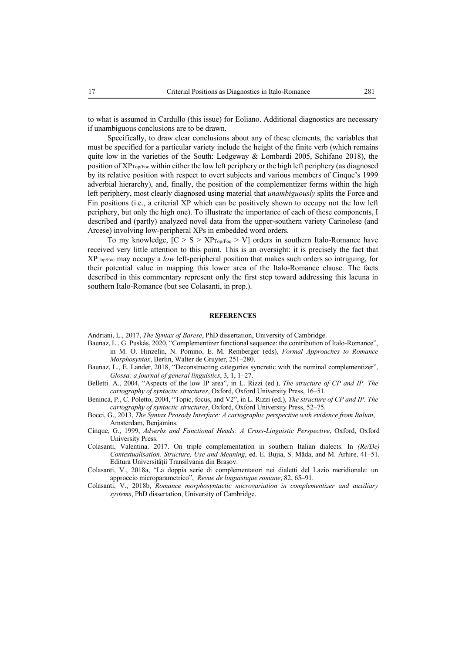to what is assumed in Cardullo (this issue) for Eoliano. Additional diagnostics are necessary if unambiguous conclusions are to be drawn.

Specifically, to draw clear conclusions about any of these elements, the variables that must be specified for a particular variety include the height of the finite verb (which remains quite low in the varieties of the South: Ledgeway & Lombardi 2005, Schifano 2018), the position of  $XP_{Top/Fo}$  within either the low left periphery or the high left periphery (as diagnosed by its relative position with respect to overt subjects and various members of Cinque's 1999 adverbial hierarchy), and, finally, the position of the complementizer forms within the high left periphery, most clearly diagnosed using material that *unambiguously* splits the Force and Fin positions (i.e., a criterial XP which can be positively shown to occupy not the low left periphery, but only the high one). To illustrate the importance of each of these components, I described and (partly) analyzed novel data from the upper-southern variety Carinolese (and Arcese) involving low-peripheral XPs in embedded word orders.

To my knowledge,  $[C > S > XP<sub>Top/For</sub> > V]$  orders in southern Italo-Romance have received very little attention to this point. This is an oversight: it is precisely the fact that XPTop/Foc may occupy a *low* left-peripheral position that makes such orders so intriguing, for their potential value in mapping this lower area of the Italo-Romance clause. The facts described in this commentary represent only the first step toward addressing this lacuna in southern Italo-Romance (but see Colasanti, in prep.).

#### **REFERENCES**

Andriani, L., 2017, *The Syntax of Barese*, PhD dissertation, University of Cambridge.

- Baunaz, L., G. Puskás, 2020, "Complementizer functional sequence: the contribution of Italo-Romance", in M. O. Hinzelin, N. Pomino, E. M. Remberger (eds), *Formal Approaches to Romance Morphosyntax*, Berlin, Walter de Gruyter, 251–280.
- Baunaz, L., E. Lander, 2018, "Deconstructing categories syncretic with the nominal complementizer", *Glossa: a journal of general linguistics*, 3, 1, 1–27.
- Belletti. A., 2004, "Aspects of the low IP area", in L. Rizzi (ed.), *The structure of CP and IP. The cartography of syntactic structures*, Oxford, Oxford University Press, 16–51.
- Benincà, P., C. Poletto, 2004, "Topic, focus, and V2", in L. Rizzi (ed.), *The structure of CP and IP. The cartography of syntactic structures*, Oxford, Oxford University Press, 52–75.
- Bocci, G., 2013, *The Syntax Prosody Interface: A cartographic perspective with evidence from Italian*, Amsterdam, Benjamins.
- Cinque, G., 1999, *Adverbs and Functional Heads: A Cross-Linguistic Perspective*, Oxford, Oxford University Press.
- Colasanti, Valentina. 2017. On triple complementation in southern Italian dialects. In *(Re/De) Contextualisation. Structure, Use and Meaning*, ed. E. Bujia, S. Măda, and M. Arhire, 41–51. Editura Universităţii Transilvania din Braşov.
- Colasanti, V., 2018a, "La doppia serie di complementatori nei dialetti del Lazio meridionale: un approccio microparametrico", *Revue de linguistique romane*, 82, 65–91.
- Colasanti, V., 2018b, *Romance morphosyntactic microvariation in complementizer and auxiliary systems*, PhD dissertation, University of Cambridge.